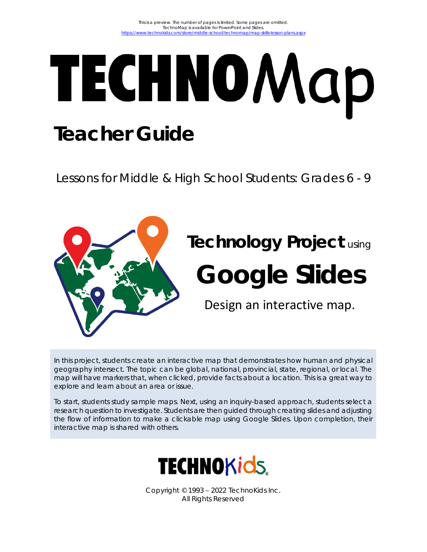# TECHNO Map **Teacher Guide**

Lessons for Middle & High School Students: Grades 6 - 9



# **Technology Project** using

# **Google Slides**

Design an interactive map.

In this project, students create an interactive map that demonstrates how human and physical geography intersect. The topic can be global, national, provincial, state, regional, or local. The map will have markers that, when clicked, provide facts about a location. This is a great way to explore and learn about an area or issue.

To start, students study sample maps. Next, using an inquiry-based approach, students select a research question to investigate. Students are then guided through creating slides and adjusting the flow of information to make a clickable map using Google Slides. Upon completion, their interactive map is shared with others.



Copyright © 1993 – 2022 TechnoKids Inc. All Rights Reserved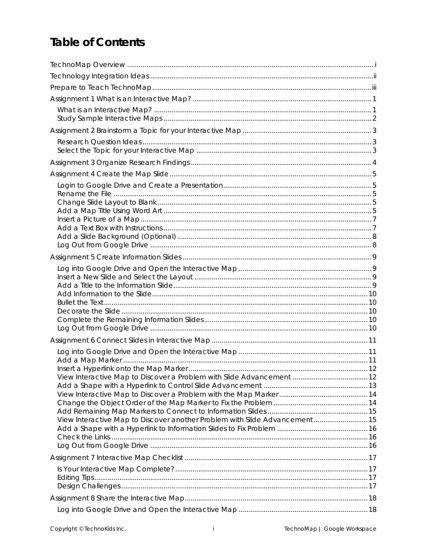# **Table of Contents**

| View Interactive Map to Discover another Problem with Slide Advancement 15 |  |
|----------------------------------------------------------------------------|--|
|                                                                            |  |
|                                                                            |  |
|                                                                            |  |
|                                                                            |  |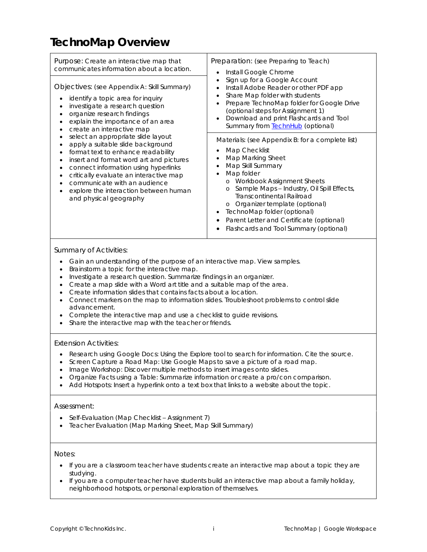# **TechnoMap Overview**

| Purpose: Create an interactive map that<br>communicates information about a location.<br>Objectives: (see Appendix A: Skill Summary)<br>identify a topic area for inquiry<br>investigate a research question<br>organize research findings<br>explain the importance of an area<br>create an interactive map<br>select an appropriate slide layout<br>apply a suitable slide background<br>format text to enhance readability<br>insert and format word art and pictures<br>connect information using hyperlinks<br>critically evaluate an interactive map<br>communicate with an audience<br>explore the interaction between human<br>and physical geography | Preparation: (see Preparing to Teach)<br>Install Google Chrome<br>$\bullet$                                                                                                                                                                                                                                                                                                                                                                              |  |
|---------------------------------------------------------------------------------------------------------------------------------------------------------------------------------------------------------------------------------------------------------------------------------------------------------------------------------------------------------------------------------------------------------------------------------------------------------------------------------------------------------------------------------------------------------------------------------------------------------------------------------------------------------------|----------------------------------------------------------------------------------------------------------------------------------------------------------------------------------------------------------------------------------------------------------------------------------------------------------------------------------------------------------------------------------------------------------------------------------------------------------|--|
|                                                                                                                                                                                                                                                                                                                                                                                                                                                                                                                                                                                                                                                               | Sign up for a Google Account<br>Install Adobe Reader or other PDF app<br>Share Map folder with students<br>٠<br>Prepare TechnoMap folder for Google Drive<br>(optional steps for Assignment 1)<br>Download and print Flashcards and Tool<br>$\bullet$<br>Summary from <b>TechnHub</b> (optional)                                                                                                                                                         |  |
|                                                                                                                                                                                                                                                                                                                                                                                                                                                                                                                                                                                                                                                               | Materials: (see Appendix B: for a complete list)<br>Map Checklist<br>٠<br>Map Marking Sheet<br>٠<br>Map Skill Summary<br>٠<br>Map folder<br>$\bullet$<br>Workbook Assignment Sheets<br>$\circ$<br>Sample Maps - Industry, Oil Spill Effects,<br>$\circ$<br><b>Transcontinental Railroad</b><br>o Organizer template (optional)<br>TechnoMap folder (optional)<br>٠<br>Parent Letter and Certificate (optional)<br>Flashcards and Tool Summary (optional) |  |

#### *Summary of Activities:*

- Gain an understanding of the purpose of an interactive map. View samples.
- Brainstorm a topic for the interactive map.
- Investigate a research question. Summarize findings in an organizer.
- Create a map slide with a Word art title and a suitable map of the area.
- Create information slides that contains facts about a location.
- Connect markers on the map to information slides. Troubleshoot problems to control slide advancement.
- Complete the interactive map and use a checklist to guide revisions.
- Share the interactive map with the teacher or friends.

#### *Extension Activities:*

- Research using Google Docs: Using the Explore tool to search for information. Cite the source.
- Screen Capture a Road Map: Use Google Maps to save a picture of a road map.
- Image Workshop: Discover multiple methods to insert images onto slides.
- Organize Facts using a Table: Summarize information or create a pro/con comparison.
- Add Hotspots: Insert a hyperlink onto a text box that links to a website about the topic.

#### *Assessment:*

- Self-Evaluation (Map Checklist Assignment 7)
- Teacher Evaluation (Map Marking Sheet, Map Skill Summary)

#### *Notes:*

- If you are a classroom teacher have students create an interactive map about a topic they are studying.
- If you are a computer teacher have students build an interactive map about a family holiday, neighborhood hotspots, or personal exploration of themselves.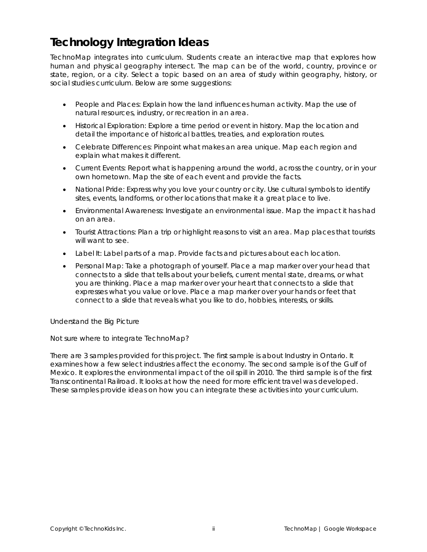# **Technology Integration Ideas**

TechnoMap integrates into curriculum. Students create an interactive map that explores how human and physical geography intersect. The map can be of the world, country, province or state, region, or a city. Select a topic based on an area of study within geography, history, or social studies curriculum. Below are some suggestions:

- *People and Places*: Explain how the land influences human activity. Map the use of natural resources, industry, or recreation in an area.
- *Historical Exploration:* Explore a time period or event in history. Map the location and detail the importance of historical battles, treaties, and exploration routes.
- *Celebrate Differences:* Pinpoint what makes an area unique. Map each region and explain what makes it different.
- *Current Events:* Report what is happening around the world, across the country, or in your own hometown. Map the site of each event and provide the facts.
- *National Pride:* Express why you love your country or city. Use cultural symbols to identify sites, events, landforms, or other locations that make it a great place to live.
- *Environmental Awareness:* Investigate an environmental issue. Map the impact it has had on an area.
- *Tourist Attractions:* Plan a trip or highlight reasons to visit an area. Map places that tourists will want to see.
- *Label It:* Label parts of a map. Provide facts and pictures about each location.
- *Personal Map:* Take a photograph of yourself. Place a map marker over your head that connects to a slide that tells about your beliefs, current mental state, dreams, or what you are thinking. Place a map marker over your heart that connects to a slide that expresses what you value or love. Place a map marker over your hands or feet that connect to a slide that reveals what you like to do, hobbies, interests, or skills.

#### *Understand the Big Picture*

#### Not sure where to integrate TechnoMap?

There are 3 samples provided for this project. The first sample is about Industry in Ontario. It examines how a few select industries affect the economy. The second sample is of the Gulf of Mexico. It explores the environmental impact of the oil spill in 2010. The third sample is of the first Transcontinental Railroad. It looks at how the need for more efficient travel was developed. These samples provide ideas on how you can integrate these activities into your curriculum.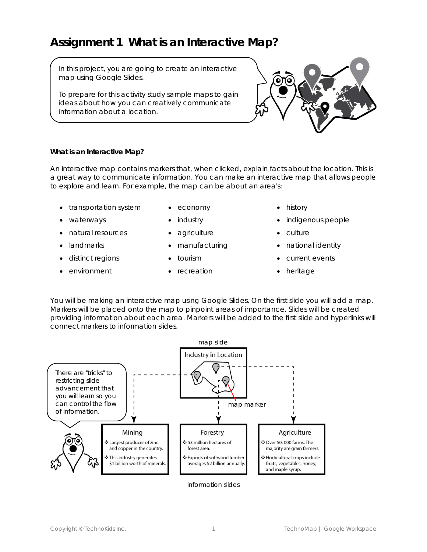### **Assignment 1 What is an Interactive Map?**

In this project, you are going to create an interactive map using Google Slides.

To prepare for this activity study sample maps to gain ideas about how you can creatively communicate information about a location.



#### **What is an Interactive Map?**

An interactive map contains markers that, when clicked, explain facts about the location. This is a great way to communicate information. You can make an interactive map that allows people to explore and learn. For example, the map can be about an area's:

- transportation system
- waterways
- natural resources
- landmarks
- distinct regions
- environment
- economy • industry
- agriculture
- manufacturing
- tourism
- recreation
- history
- indigenous people
- culture
- national identity
- current events
- heritage

You will be making an interactive map using Google Slides. On the first slide you will add a map. Markers will be placed onto the map to pinpoint areas of importance. Slides will be created providing information about each area. Markers will be added to the first slide and hyperlinks will connect markers to information slides.



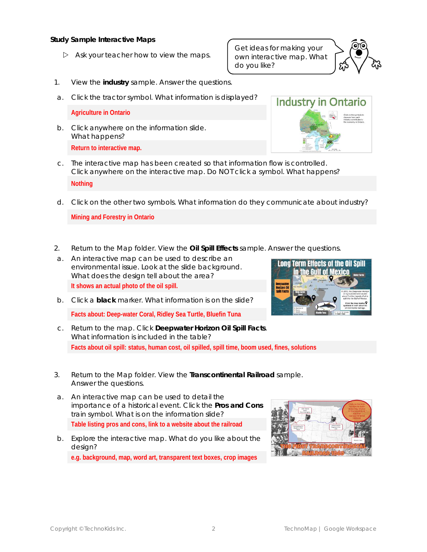**Study Sample Interactive Maps**

 $\triangleright$  Ask your teacher how to view the maps.

- 1. View the **industry** sample. Answer the questions.
- a. Click the tractor symbol. What information is displayed?

**Agriculture in Ontario**

- b. Click anywhere on the information slide. What happens? **Return to interactive map.**
- c. The interactive map has been created so that information flow is controlled. Click anywhere on the interactive map. Do NOT click a symbol. What happens? **Nothing**
- d. Click on the other two symbols. What information do they communicate about industry?

**Mining and Forestry in Ontario**

- 2. Return to the *Map* folder. View the **Oil Spill Effects** sample. Answer the questions.
- a. An interactive map can be used to describe an environmental issue. Look at the slide background. What does the design tell about the area? **It shows an actual photo of the oil spill.**
- b. Click a **black** marker. What information is on the slide? **Facts about: Deep-water Coral, Ridley Sea Turtle, Bluefin Tuna**
- c. Return to the map. Click *Deepwater Horizon Oil Spill Facts*. What information is included in the table? **Facts about oil spill: status, human cost, oil spilled, spill time, boom used, fines, solutions**
- 3. Return to the *Map* folder. View the **Transcontinental Railroad** sample. Answer the questions.
- a. An interactive map can be used to detail the importance of a historical event. Click the *Pros and Cons train* symbol. What is on the information slide? **Table listing pros and cons, link to a website about the railroad**
- b. Explore the interactive map. What do you like about the desian? **e.g. background, map, word art, transparent text boxes, crop images**







Get ideas for making your own interactive map. What

do you like?

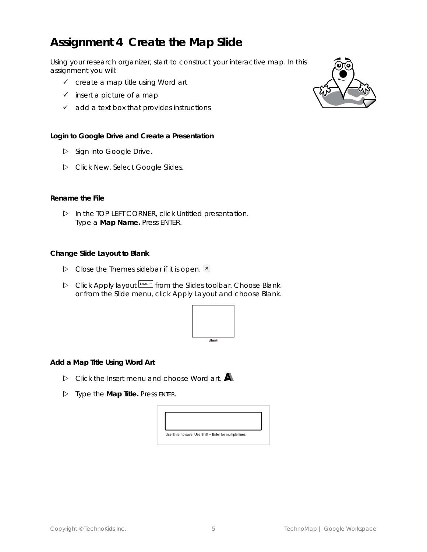# **Assignment 4 Create the Map Slide**

Using your research organizer, start to construct your interactive map. In this assignment you will:

- ✓ create a map title using Word art
- $\checkmark$  insert a picture of a map
- $\checkmark$  add a text box that provides instructions

**Login to Google Drive and Create a Presentation**

- $\triangleright$  Sign into Google Drive.
- Click *New.* Select *Google Slides*.

#### **Rename the File**

 In the TOP LEFT CORNER, click *Untitled presentation.* Type a **Map Name.** Press ENTER.

**Change Slide Layout to Blank**

- $\triangleright$  Close the *Themes* sidebar if it is open.  $\cdot$
- Click *Apply* l*ayout* from the Slides toolbar. Choose *Blank*  or from the Slide menu, click *Apply Layout* and choose *Blank.*



**Add a Map Title Using Word Art**

- Click the *Insert* menu and choose *Word art.*
- Type the **Map Title.** Press ENTER.



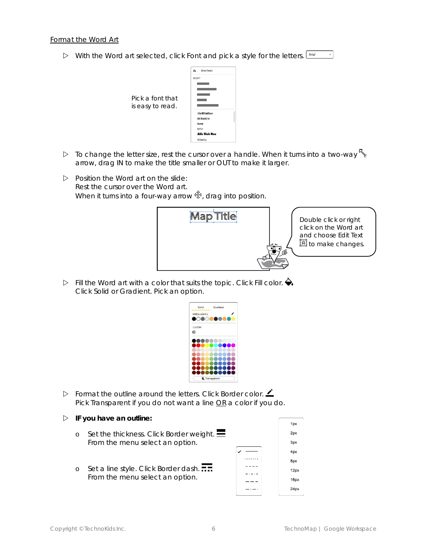With the Word art selected, click *Font* and pick a style for the letters.



- $\triangleright$  To change the letter size, rest the cursor over a handle. When it turns into a two-way  $\mathcal{F}_{\geq 0}$ arrow, drag IN to make the title smaller or OUT to make it larger.
- $\triangleright$  Position the Word art on the slide: Rest the cursor over the Word art. When it turns into a four-way arrow  $\mathcal{F}$ , drag into position.



Double click or right click on the Word art and choose *Edit Text*  $\blacksquare$  to make changes.

 $\triangleright$  Fill the Word art with a color that suits the topic. Click Fill color.  $\bigodot$ . Click *Solid* or *Gradient*. Pick an option.

| Solid          | Gradient |
|----------------|----------|
| SIMPLE-LIGHT-2 |          |
|                |          |
| <b>CUSTOM</b>  |          |
| ⊕              |          |
|                |          |
|                |          |
|                |          |
|                |          |
|                |          |

- Format the outline around the letters. Click *Border color*. Pick *Transparent* if you do not want a line OR a color if you do.
- **IF you have an outline:**
	- o Set the thickness. Click *Border weight*. From the menu select an option.
	- o Set a line style. Click *Border dash*. From the menu select an option.

| 1px  |
|------|
| 2px  |
| 3px  |
| 4px  |
| 8px  |
| 12px |
| 16px |
| 24px |
|      |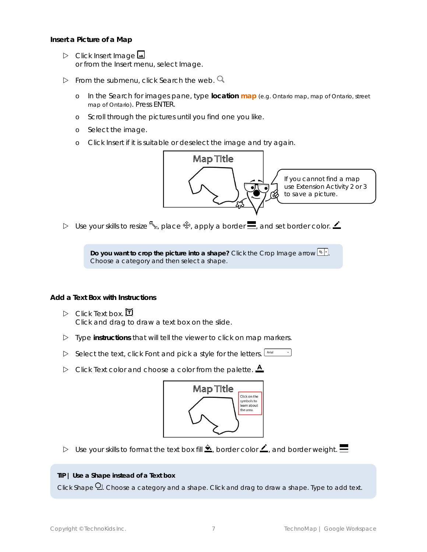**Insert a Picture of a Map**

- Click *Insert Image* or from the Insert menu, select *Image.*
- $\triangleright$  From the submenu, click Search the web.  $\mathsf Q$ 
	- o In the *Search for images* pane, type **location map** (e.g. Ontario map, map of Ontario, street map of Ontario). Press ENTER.
	- o Scroll through the pictures until you find one you like.
	- o Select the image.
	- o Click *Insert* if it is suitable or deselect the image and try again.



D Use your skills to resize  $\mathcal{L}$ , place  $\hat{\mathcal{F}}$ , apply a border  $\blacksquare$ , and set border color.  $\blacktriangle$ 

**Do you want to crop the picture into a shape? Click the Crop Image arrow**  $\boxed{\mathbf{A}^T}$ **.** Choose a category and then select a shape.

**Add a Text Box with Instructions**

- $\triangleright$  Click Text box.  $\Box$ Click and drag to draw a text box on the slide.
- Type **instructions** that will tell the viewer to click on map markers.
- Select the text, click *Font* and pick a style for the letters. [Arial]
- $\triangleright$  Click *Text color* and choose a color from the palette.  $\triangle$



D Use your skills to format the text box fill  $\triangle$ , border color  $\angle$ , and border weight.  $\equiv$ 

**TIP | Use a Shape instead of a Text box**

Click Shape **Q**. Choose a category and a shape. Click and drag to draw a shape. Type to add text.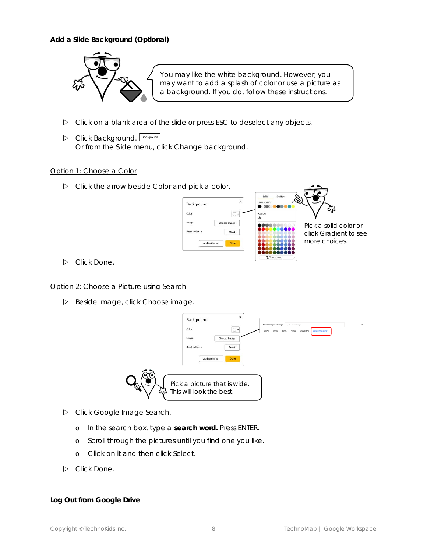**Add a Slide Background (Optional)**



You may like the white background. However, you may want to add a splash of color or use a picture as a background. If you do, follow these instructions.

- Click on a blank area of the slide or press ESC to deselect any objects.
- Click *Background.* Or from the Slide menu, click *Change background.*

#### Option 1: Choose a Color

Click the arrow beside *Color* and pick a color.



Pick a solid color or click *Gradient* to see more choices.

Click *Done.*

#### Option 2: Choose a Picture using Search

Beside Image, click *Choose image.*



- Click *Google Image Search.*
	- o In the search box, type a **search word.** Press ENTER.
	- o Scroll through the pictures until you find one you like.
	- o Click on it and then click *Select.*
- Click *Done.*

**Log Out from Google Drive**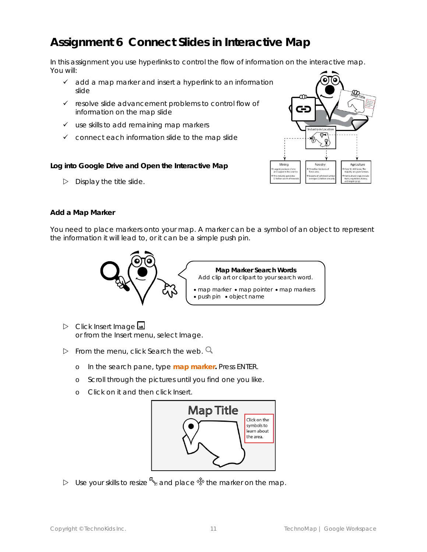# **Assignment 6 Connect Slides in Interactive Map**

In this assignment you use hyperlinks to control the flow of information on the interactive map. You will:

- ✓ add a map marker and insert a hyperlink to an information slide
- ✓ resolve slide advancement problems to control flow of information on the map slide
- $\checkmark$  use skills to add remaining map markers
- $\checkmark$  connect each information slide to the map slide

**Log into Google Drive and Open the Interactive Map**

 $\triangleright$  Display the title slide.



#### **Add a Map Marker**

You need to place markers onto your map. A marker can be a symbol of an object to represent the information it will lead to, or it can be a simple push pin.



**Map Marker Search Words** Add *clip art* or *clipart* to your search word.

- map marker map pointer map markers • push pin • object name
- Click *Insert Image* or from the Insert menu, select *Image.*
- $\triangleright$  From the menu, click Search the web.  $\mathsf Q$ 
	- o In the search pane, type **map marker.** Press ENTER*.*
	- o Scroll through the pictures until you find one you like.
	- o Click on it and then click *Insert.*



 $\triangleright$  Use your skills to resize  $\mathbb S$  and place  $\mathbb P$  the marker on the map.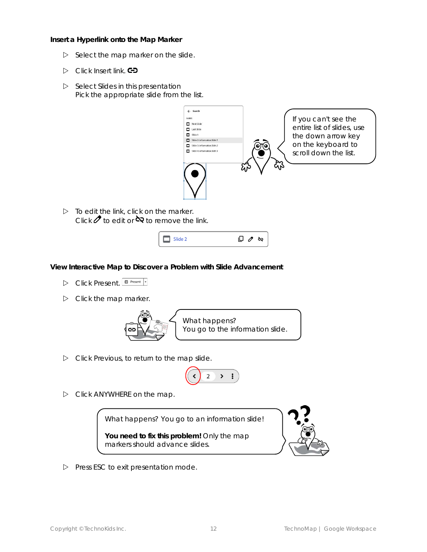**Insert a Hyperlink onto the Map Marker**

- $\triangleright$  Select the map marker on the slide.
- $\triangleright$  Click *Insert link*. **CD**
- Select *Slides in this presentation* Pick the appropriate slide from the list.



 $\triangleright$  To edit the link, click on the marker. Click  $Z$  to edit or  $\infty$  to remove the link.



**View Interactive Map to Discover a Problem with Slide Advancement**

- **D** Click Present. **D** Present -
- $\triangleright$  Click the map marker.



Click *Previous,* to return to the map slide.

$$
\begin{pmatrix} 1 & 2 & 3 & 1 \end{pmatrix}
$$

 $\triangleright$  Click ANYWHERE on the map.

What happens? *You go to an information slide!*

**You need to fix this problem!** Only the map markers should advance slides.



 $\triangleright$  Press ESC to exit presentation mode.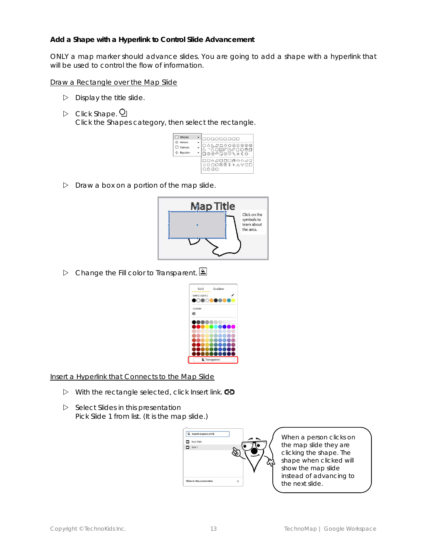**Add a Shape with a Hyperlink to Control Slide Advancement**

ONLY a map marker should advance slides. You are going to add a shape with a hyperlink that will be used to control the flow of information.

Draw a Rectangle over the Map Slide

- $\triangleright$  Display the title slide.
- **D** Click Shape. **Q**

Click the *Shapes* category, then select the *rectangle.*

| Shapes                         |                                                                            |
|--------------------------------|----------------------------------------------------------------------------|
| Arrows<br>Callouts<br>Equation | ◯△ <u>\</u> <i>ଯ∆</i> ◇◇◎⑦◎◎◎<br>ଓ `ଓ୦⊡ମଧ⊄୦ତ88<br>◘◎◎△ <del>D</del> ©♡९≎〔ଠ |
|                                | <b>□□◇<i>□</i>□□</b> □♂○○△□<br>OUARO X OAVAD                               |

 $\triangleright$  Draw a box on a portion of the map slide.



Change the *Fill color* to *Transparent*.



Insert a Hyperlink that Connects to the Map Slide

- With the rectangle selected, click *Insert link*.
- Select *Slides in this presentation* Pick *Slide 1* from list. (It is the map slide.)



When a person clicks on the map slide they are clicking the shape. The shape when clicked will show the map slide instead of advancing to the next slide.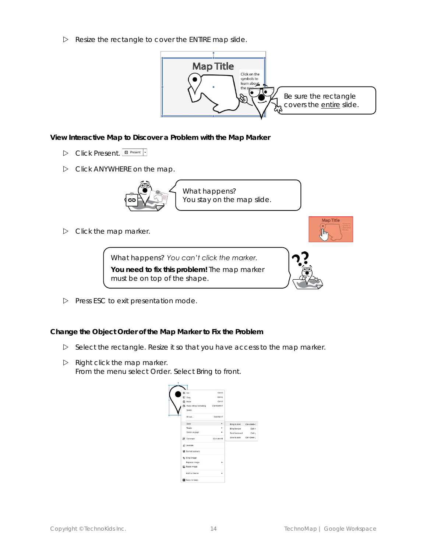$\triangleright$  Resize the rectangle to cover the ENTIRE map slide.



**View Interactive Map to Discover a Problem with the Map Marker**

- **D** Click Present. **E** Present |
- $\triangleright$  Click ANYWHERE on the map.



What happens? *You stay on the map slide.*

 $\triangleright$  Click the map marker.

What happens? *You can't click the marker.* **You need to fix this problem!** The map marker must be on top of the shape.



**Map Title** ∖∣հա

 $\triangleright$  Press ESC to exit presentation mode.

**Change the Object Order of the Map Marker to Fix the Problem**

- $\triangleright$  Select the rectangle. Resize it so that you have access to the map marker.
- $\triangleright$  Right click the map marker. From the menu select *Order*. Select *Bring to front*.

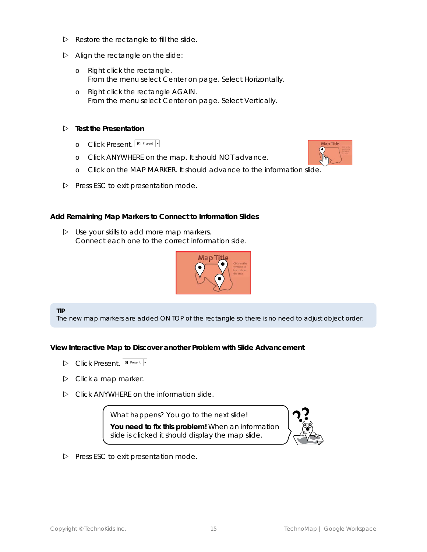- $\triangleright$  Restore the rectangle to fill the slide.
- $\triangleright$  Align the rectangle on the slide:
	- o Right click the rectangle. From the menu select *Center on page*. Select *Horizontally*.
	- o Right click the rectangle AGAIN. From the menu select *Center on page*. Select *Vertically*.
- **Test the Presentation** 
	- **o** Click Present. **E** Present -
	- o Click ANYWHERE on the map. It should NOT advance.
	- o Click on the MAP MARKER. It should advance to the information slide.
- $\triangleright$  Press ESC to exit presentation mode.

**Add Remaining Map Markers to Connect to Information Slides**

 $\triangleright$  Use your skills to add more map markers. Connect each one to the correct information side.



**TIP**

The new map markers are added ON TOP of the rectangle so there is no need to adjust object order.

**View Interactive Map to Discover another Problem with Slide Advancement**

- **D** Click Present. **E** Present -
- $\triangleright$  Click a map marker.
- $\triangleright$  Click ANYWHERE on the information slide.

What happens? *You go to the next slide!* **You need to fix this problem!** When an information slide is clicked it should display the map slide.



 $\triangleright$  Press ESC to exit presentation mode.

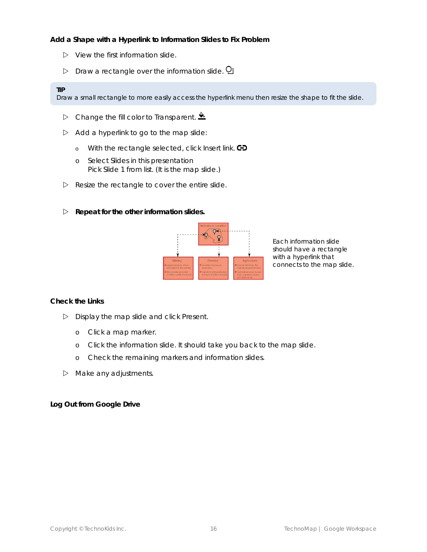**Add a Shape with a Hyperlink to Information Slides to Fix Problem**

- $\triangleright$  View the first information slide.
- $\triangleright$  Draw a rectangle over the information slide.  $\Omega$

#### **TIP**

Draw a small rectangle to more easily access the hyperlink menu then resize the shape to fit the slide.

- $\triangleright$  Change the fill color to *Transparent*.
- $\triangleright$  Add a hyperlink to go to the map slide:
	- o With the rectangle selected, click *Insert link*.
	- o Select *Slides in this presentation* Pick *Slide 1* from list. (It is the map slide.)
- $\triangleright$  Resize the rectangle to cover the entire slide.
- **Repeat for the other information slides.**



Each information slide should have a rectangle with a hyperlink that connects to the map slide.

**Check the Links**

- Display the map slide and click *Present*.
	- o Click a map marker.
	- o Click the information slide. It should take you back to the map slide.
	- o Check the remaining markers and information slides.
- $\triangleright$  Make any adjustments.

**Log Out from Google Drive**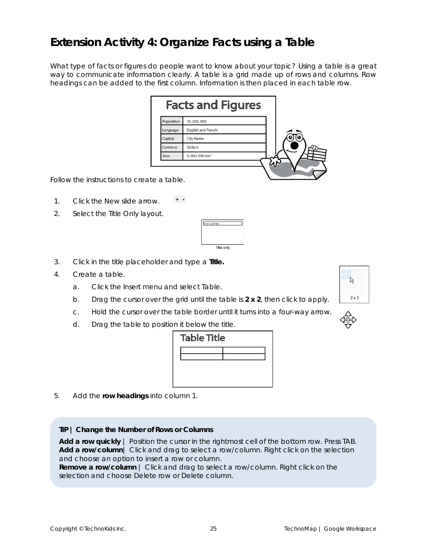### **Extension Activity 4: Organize Facts using a Table**

What type of facts or figures do people want to know about your topic? Using a table is a great way to communicate information clearly. A table is a grid made up of rows and columns. Row headings can be added to the first column. Information is then placed in each table row.

|            | <b>Facts and Figures</b>  |  |
|------------|---------------------------|--|
| Population | 35,000,000                |  |
| Language   | <b>English and French</b> |  |
| Capital    | <b>City Name</b>          |  |
| Currency   | <b>Dollars</b>            |  |
| Area       | 9,000,000 km <sup>2</sup> |  |

Follow the instructions to create a table.

- $+$   $\,$   $\,$   $\,$ 1. Click the *New slide* arrow.
- 2. Select the *Title Only* layout.



- 3. Click in the title placeholder and type a **Title.**
- 4. Create a table.
	- a. Click the *Insert* menu and select *Table.*
	- b. Drag the cursor over the grid until the table is **2 x 2**, then click to apply.
	- c. Hold the cursor over the table border until it turns into a four-way arrow.
	- d. Drag the table to position it below the title.



5. Add the **row headings** into column 1.

**TIP | Change the Number of Rows or Columns**

**Add a row quickly** | Position the cursor in the rightmost cell of the bottom row. Press TAB. **Add a row/column**| Click and drag to select a row/column. Right click on the selection and choose an option to insert a row or column.

**Remove a row/column** | Click and drag to select a row/column. Right click on the selection and choose *Delete row* or *Delete column*.



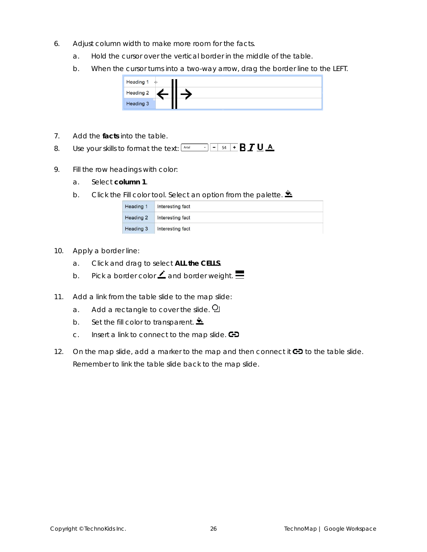- 6. Adjust column width to make more room for the facts.
	- a. Hold the cursor over the vertical border in the middle of the table.
	- b. When the cursor turns into a two-way arrow, drag the border line to the LEFT.



- 7. Add the **facts** into the table.
- 8. Use your skills to format the text: Arial
- 9. Fill the row headings with color:
	- a. Select **column 1**.
	- b. Click the *Fill color* tool. Select an option from the palette.

| Heading 1 | Interesting fact |
|-----------|------------------|
| Heading 2 | Interesting fact |
| Heading 3 | Interesting fact |

- 10. Apply a border line:
	- a. Click and drag to select **ALL the CELLS**.
	- b. Pick a border color  $\angle$  and border weight.  $\equiv$
- 11. Add a link from the table slide to the map slide:
	- a. Add a rectangle to cover the slide.  $Q$
	- b. Set the fill color to transparent.  $\triangle$
	- c. Insert a link to connect to the map slide.  $\bigoplus$
- 12. On the map slide, add a marker to the map and then connect it  $\bigoplus$  to the table slide. *Remember to link the table slide back to the map slide.*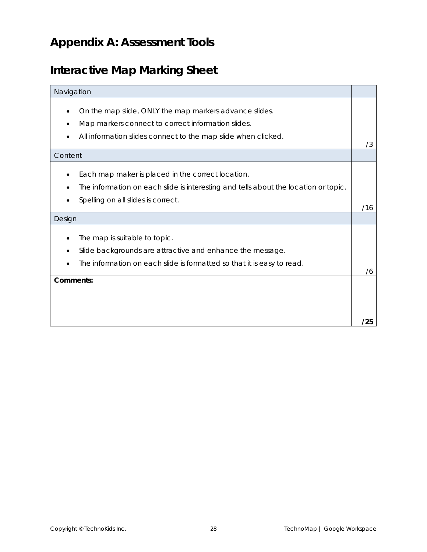# **Appendix A: Assessment Tools**

# **Interactive Map Marking Sheet**

| Navigation |                                                                                                                                                                                |     |
|------------|--------------------------------------------------------------------------------------------------------------------------------------------------------------------------------|-----|
|            | On the map slide, ONLY the map markers advance slides.<br>Map markers connect to correct information slides.<br>All information slides connect to the map slide when clicked.  | /3  |
| Content    |                                                                                                                                                                                |     |
|            | Each map maker is placed in the correct location.<br>The information on each slide is interesting and tells about the location or topic.<br>Spelling on all slides is correct. | /16 |
| Design     |                                                                                                                                                                                |     |
|            | The map is suitable to topic.<br>Slide backgrounds are attractive and enhance the message.<br>The information on each slide is formatted so that it is easy to read.           | 76  |
| Comments:  |                                                                                                                                                                                | /25 |